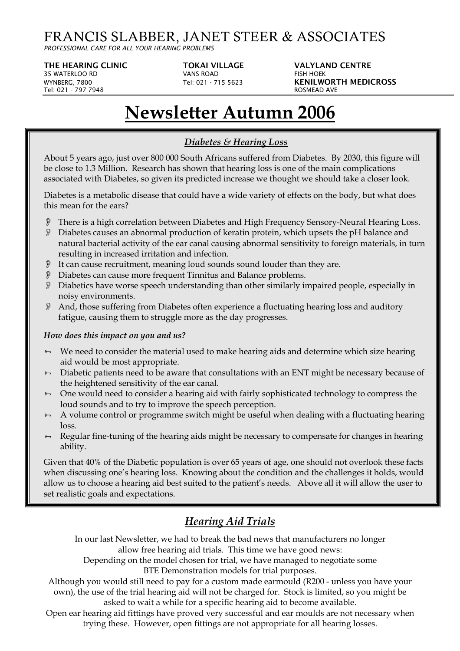## FRANCIS SLABBER, JANET STEER & ASSOCIATES

*PROFESSIONAL CARE FOR ALL YOUR HEARING PROBLEMS*

**THE HEARING CLINIC TOKAI VILLAGE VALYLAND CENTRE** 35 WATERLOO RD VANS ROAD FISH HOEK Tel: 021 - 797 7948 

WYNBERG, 7800 **Tel: 021 - 715 5623 KENILWORTH MEDICROSS**<br>
Tel: 021 - 797 7948 **Tel: 021 - 715 5623 KOSMEAD AVE** 

# **Newsletter Autumn 2006**

#### *Diabetes & Hearing Loss*

About 5 years ago, just over 800 000 South Africans suffered from Diabetes. By 2030, this figure will be close to 1.3 Million. Research has shown that hearing loss is one of the main complications associated with Diabetes, so given its predicted increase we thought we should take a closer look.

Diabetes is a metabolic disease that could have a wide variety of effects on the body, but what does this mean for the ears?

- There is a high correlation between Diabetes and High Frequency Sensory-Neural Hearing Loss.
- Diabetes causes an abnormal production of keratin protein, which upsets the pH balance and natural bacterial activity of the ear canal causing abnormal sensitivity to foreign materials, in turn resulting in increased irritation and infection.
- It can cause recruitment, meaning loud sounds sound louder than they are.
- Diabetes can cause more frequent Tinnitus and Balance problems.
- Diabetics have worse speech understanding than other similarly impaired people, especially in noisy environments.
- And, those suffering from Diabetes often experience a fluctuating hearing loss and auditory fatigue, causing them to struggle more as the day progresses.

#### *How does this impact on you and us?*

- $\theta$  We need to consider the material used to make hearing aids and determine which size hearing aid would be most appropriate.
- $\theta$  Diabetic patients need to be aware that consultations with an ENT might be necessary because of the heightened sensitivity of the ear canal.
- $-$  One would need to consider a hearing aid with fairly sophisticated technology to compress the loud sounds and to try to improve the speech perception.
- $\theta$  A volume control or programme switch might be useful when dealing with a fluctuating hearing loss.
- $\theta$  Regular fine-tuning of the hearing aids might be necessary to compensate for changes in hearing ability.

Given that 40% of the Diabetic population is over 65 years of age, one should not overlook these facts when discussing one's hearing loss. Knowing about the condition and the challenges it holds, would allow us to choose a hearing aid best suited to the patient's needs. Above all it will allow the user to set realistic goals and expectations.

## *Hearing Aid Trials*

In our last Newsletter, we had to break the bad news that manufacturers no longer allow free hearing aid trials. This time we have good news:

Depending on the model chosen for trial, we have managed to negotiate some BTE Demonstration models for trial purposes.

Although you would still need to pay for a custom made earmould (R200 - unless you have your own), the use of the trial hearing aid will not be charged for. Stock is limited, so you might be asked to wait a while for a specific hearing aid to become available.

Open ear hearing aid fittings have proved very successful and ear moulds are not necessary when trying these. However, open fittings are not appropriate for all hearing losses.